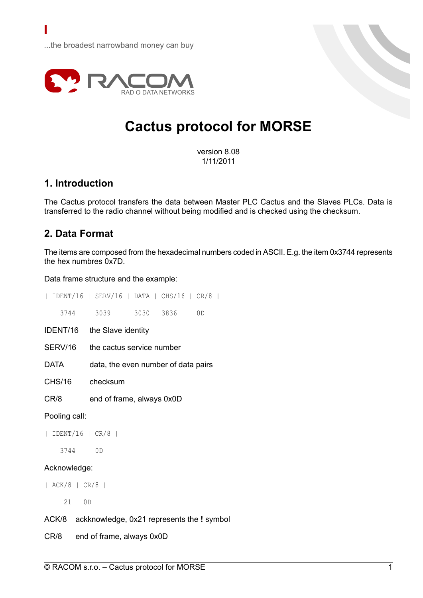

# **Cactus protocol for MORSE**

version 8.08 1/11/2011

# **1. Introduction**

The Cactus protocol transfers the data between Master PLC Cactus and the Slaves PLCs. Data is transferred to the radio channel without being modified and is checked using the checksum.

## **2. Data Format**

The items are composed from the hexadecimal numbers coded in ASCII. E.g. the item 0x3744 represents the hex numbres 0x7D.

Data frame structure and the example:

|                                       | IDENT/16   SERV/16   DATA   CHS/16   CR/8        |  |
|---------------------------------------|--------------------------------------------------|--|
| 3744                                  | 3039<br>3030 3836<br>0D                          |  |
|                                       | IDENT/16 the Slave identity                      |  |
| SERV/16                               | the cactus service number                        |  |
| DATA                                  | data, the even number of data pairs              |  |
| CHS/16                                | checksum                                         |  |
| CR/8                                  | end of frame, always 0x0D                        |  |
| Pooling call:                         |                                                  |  |
| $IDENT/16$   $CR/8$  <br>$\mathbf{L}$ |                                                  |  |
| 3744                                  | 0D                                               |  |
| Acknowledge:                          |                                                  |  |
| $ $ ACK/8 $ $ CR/8 $ $                |                                                  |  |
| 21                                    | OD                                               |  |
|                                       | ACK/8 ackknowledge, 0x21 represents the ! symbol |  |
| CR/8                                  | end of frame, always 0x0D                        |  |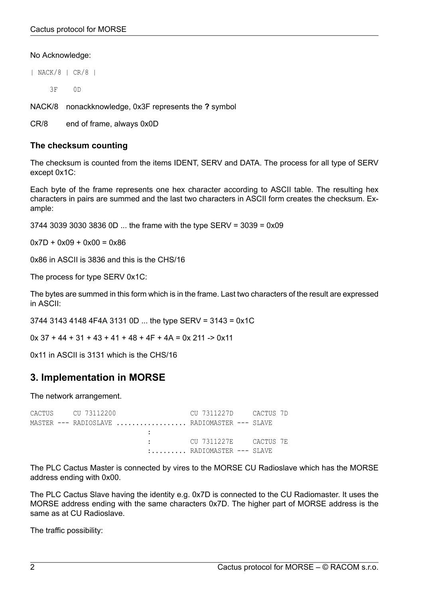#### No Acknowledge:

| NACK/8 | CR/8 |

3F 0D

NACK/8 nonackknowledge, 0x3F represents the **?** symbol

CR/8 end of frame, always 0x0D

#### **The checksum counting**

The checksum is counted from the items IDENT, SERV and DATA. The process for all type of SERV except 0x1C:

Each byte of the frame represents one hex character according to ASCII table. The resulting hex characters in pairs are summed and the last two characters in ASCII form creates the checksum. Example:

3744 3039 3030 3836 0D ... the frame with the type SERV = 3039 = 0x09

 $0x7D + 0x09 + 0x00 = 0x86$ 

0x86 in ASCII is 3836 and this is the CHS/16

The process for type SERV 0x1C:

The bytes are summed in this form which is in the frame. Last two characters of the result are expressed in ASCII:

3744 3143 4148 4F4A 3131 0D ... the type SERV = 3143 = 0x1C

 $0x 37 + 44 + 31 + 43 + 41 + 48 + 4F + 4A = 0x 211 - 80x11$ 

0x11 in ASCII is 3131 which is the CHS/16

# **3. Implementation in MORSE**

The network arrangement.

CACTUS CU 73112200 CU 7311227D CACTUS 7D MASTER --- RADIOSLAVE .................. RADIOMASTER --- SLAVE : : CU 7311227E CACTUS 7E :......... RADIOMASTER --- SLAVE

The PLC Cactus Master is connected by vires to the MORSE CU Radioslave which has the MORSE address ending with 0x00.

The PLC Cactus Slave having the identity e.g. 0x7D is connected to the CU Radiomaster. It uses the MORSE address ending with the same characters 0x7D. The higher part of MORSE address is the same as at CU Radioslave.

The traffic possibility: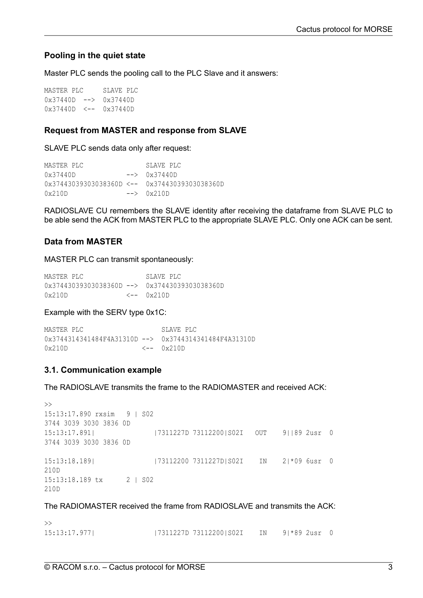## **Pooling in the quiet state**

Master PLC sends the pooling call to the PLC Slave and it answers:

MASTER PLC SLAVE PLC 0x37440D --> 0x37440D 0x37440D <-- 0x37440D

#### **Request from MASTER and response from SLAVE**

SLAVE PLC sends data only after request:

```
MASTER PLC SLAVE PLC
0x37440D --> 0x37440D
0x37443039303038360D <-- 0x37443039303038360D
0x210D \rightarrow 0x210D
```
RADIOSLAVE CU remembers the SLAVE identity after receiving the dataframe from SLAVE PLC to be able send the ACK from MASTER PLC to the appropriate SLAVE PLC. Only one ACK can be sent.

## **Data from MASTER**

MASTER PLC can transmit spontaneously:

| MASTER PLC                                                      | SLAVE PLC   |
|-----------------------------------------------------------------|-------------|
| $0 \times 37443039303038360D$ --> $0 \times 37443039303038360D$ |             |
| 0x210D                                                          | /c-- 0x210D |

#### Example with the SERV type 0x1C:

MASTER PLC SLAVE PLC 0x3744314341484F4A31310D --> 0x3744314341484F4A31310D 0x210D <-- 0x210D

## **3.1. Communication example**

The RADIOSLAVE transmits the frame to the RADIOMASTER and received ACK:

```
\rightarrow15:13:17.890 rxsim 9 | S02
3744 3039 3030 3836 0D
15:13:17.891| |7311227D 73112200|S02I OUT 9||89 2usr 0
3744 3039 3030 3836 0D
15:13:18.189| |73112200 7311227D|S02I IN 2|*09 6usr 0
210D
15:13:18.189 tx 2 | S02
210D
```
The RADIOMASTER received the frame from RADIOSLAVE and transmits the ACK:

| $\gt$        |                        |                 |  |
|--------------|------------------------|-----------------|--|
| 15:13:17.977 | 7311227D 73112200 SO2I | IN 9 *89 2usr 0 |  |